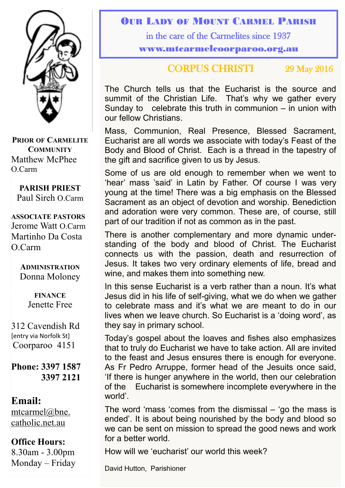

**PRIOR OF CARMELITE COMMUNITY** Matthew McPhee O.Carm

**PARISH PRIEST** Paul Sireh O.Carm

**ASSOCIATE PASTORS** Jerome Watt O.Carm Martinho Da Costa O.Carm

> **ADMINISTRATION** Donna Moloney

> > **FINANCE**  Jenette Free

312 Cavendish Rd [entry via Norfolk St] Coorparoo 4151

**Phone: 3397 1587 3397 2121**

#### **Email:**

[mtcarmel@bne.](mailto:mtcarmel@bne.catholic.net.au)  [catholic.net.au](mailto:mtcarmel@bne.catholic.net.au)

### **Office Hours:**

8.30am - 3.00pm Monday – Friday

#### OUR LADY OF MOUNT CARMEL PARISH

in the care of the Carmelites since 1937

www.mtcarmelcoorparoo.org.au

### CORPUS CHRISTI 29 May 2016

The Church tells us that the Eucharist is the source and summit of the Christian Life. That's why we gather every Sunday to celebrate this truth in communion – in union with our fellow Christians.

Mass, Communion, Real Presence, Blessed Sacrament, Eucharist are all words we associate with today's Feast of the Body and Blood of Christ. Each is a thread in the tapestry of the gift and sacrifice given to us by Jesus.

Some of us are old enough to remember when we went to 'hear' mass 'said' in Latin by Father. Of course I was very young at the time! There was a big emphasis on the Blessed Sacrament as an object of devotion and worship. Benediction and adoration were very common. These are, of course, still part of our tradition if not as common as in the past.

There is another complementary and more dynamic understanding of the body and blood of Christ. The Eucharist connects us with the passion, death and resurrection of Jesus. It takes two very ordinary elements of life, bread and wine, and makes them into something new.

In this sense Eucharist is a verb rather than a noun. It's what Jesus did in his life of self-giving, what we do when we gather to celebrate mass and it's what we are meant to do in our lives when we leave church. So Eucharist is a 'doing word', as they say in primary school.

Today's gospel about the loaves and fishes also emphasizes that to truly do Eucharist we have to take action. All are invited to the feast and Jesus ensures there is enough for everyone. As Fr Pedro Arruppe, former head of the Jesuits once said, 'If there is hunger anywhere in the world, then our celebration of the Eucharist is somewhere incomplete everywhere in the world'.

The word 'mass 'comes from the dismissal – 'go the mass is ended'. It is about being nourished by the body and blood so we can be sent on mission to spread the good news and work for a better world.

How will we 'eucharist' our world this week?

David Hutton, Parishioner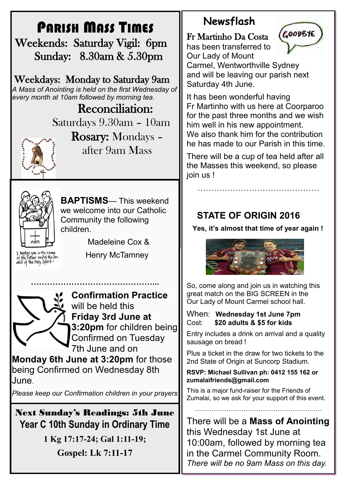# PARISH MASS TIMES

 Weekends: Saturday Vigil: 6pm Sunday: 8.30am & 5.30pm

Weekdays: Monday to Saturday 9am *A Mass of Anointing is held on the first Wednesday of every month at 10am followed by morning tea.*

> Reconciliation: Saturdays 9.30am – 10am



Rosary: Mondays – after 9am Mass



**BAPTISMS**— This weekend we welcome into our Catholic Community the following children.

Madeleine Cox &

I baptize you in the name<br>of the Father and of the son<br>oond of the floty Spirit

Henry McTamney



**Confirmation Practice**  will be held this **Friday 3rd June at 3:20pm** for children being Confirmed on Tuesday 7th June and on

**Monday 6th June at 3:20pm** for those being Confirmed on Wednesday 8th June.

**………………………………………...**

*Please keep our Confirmation children in your prayers*

Next Sunday's Readings: 5th June **Year C 10th Sunday in Ordinary Time**

**1 Kg 17:17-24; Gal 1:11-19;**

**Gospel: Lk 7:11-17**

## **Newsflash**

Fr Martinho Da Costa

has been transferred to Our Lady of Mount



Carmel, Wentworthville Sydney and will be leaving our parish next Saturday 4th June.

It has been wonderful having Fr Martinho with us here at Coorparoo for the past three months and we wish him well in his new appointment. We also thank him for the contribution he has made to our Parish in this time.

There will be a cup of tea held after all the Masses this weekend, so please join us !

………………………………………

## **STATE OF ORIGIN 2016**

**Yes, it's almost that time of year again !**



So, come along and join us in watching this great match on the BIG SCREEN in the Our Lady of Mount Carmel school hall.

#### When: **Wednesday 1st June 7pm** Cost: **\$20 adults & \$5 for kids**

Entry includes a drink on arrival and a quality sausage on bread !

Plus a ticket in the draw for two tickets to the 2nd State of Origin at Suncorp Stadium.

#### **RSVP: Michael Sullivan ph: 0412 155 162 or zumalaifriends@gmail.com**

This is a major fund-raiser for the Friends of Zumalai, so we ask for your support of this event.

……………………………………………………

There will be a **Mass of Anointing**  this Wednesday 1st June at 10:00am, followed by morning tea in the Carmel Community Room. *There will be no 9am Mass on this day.*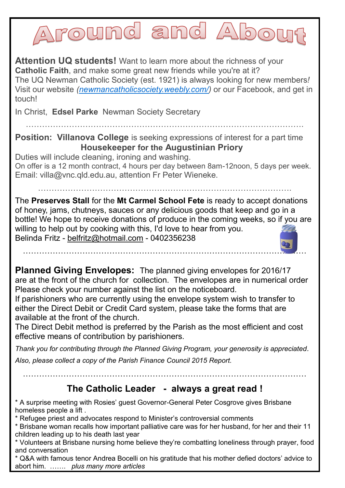Around and Abo

**Attention UQ students!** Want to learn more about the richness of your **Catholic Faith**, and make some great new friends while you're at it? The UQ Newman Catholic Society (est. 1921) is always looking for new members*!*  Visit our website *[\(newmancatholicsociety.weebly.com/\)](http://newmancatholicsociety.weebly.com/)* or our Facebook, and get in touch!

In Christ, **Edsel Parke** Newman Society Secretary

**Position: Villanova College** is seeking expressions of interest for a part time **Housekeeper for the Augustinian Priory**

………………………………………………………………………………………….

Duties will include cleaning, ironing and washing. On offer is a 12 month contract, 4 hours per day between 8am-12noon, 5 days per week. Email: villa@vnc.qld.edu.au, attention Fr Peter Wieneke.

………………………………………………………………………………….

The **Preserves Stall** for the **Mt Carmel School Fete** is ready to accept donations of honey, jams, chutneys, sauces or any delicious goods that keep and go in a bottle! We hope to receive donations of produce in the coming weeks, so if you are willing to help out by cooking with this, I'd love to hear from you. Belinda Fritz - [belfritz@hotmail.com](mailto:belfritz@hotmail.com) - 0402356238

……………………………………………………………………………………………

**Planned Giving Envelopes:** The planned giving envelopes for 2016/17 are at the front of the church for collection. The envelopes are in numerical order Please check your number against the list on the noticeboard.

If parishioners who are currently using the envelope system wish to transfer to either the Direct Debit or Credit Card system, please take the forms that are available at the front of the church.

The Direct Debit method is preferred by the Parish as the most efficient and cost effective means of contribution by parishioners.

*Thank you for contributing through the Planned Giving Program, your generosity is appreciated. Also, please collect a copy of the Parish Finance Council 2015 Report.*

### **The Catholic Leader - always a great read !**

……………………………………………………………………………………………

\* A surprise meeting with Rosies' guest Governor-General Peter Cosgrove gives Brisbane homeless people a lift .

\* Refugee priest and advocates respond to Minister's controversial comments

\* Brisbane woman recalls how important palliative care was for her husband, for her and their 11 children leading up to his death last year

\* Volunteers at Brisbane nursing home believe they're combatting loneliness through prayer, food and conversation

\* Q&A with famous tenor Andrea Bocelli on his gratitude that his mother defied doctors' advice to abort him. ……. *plus many more articles*